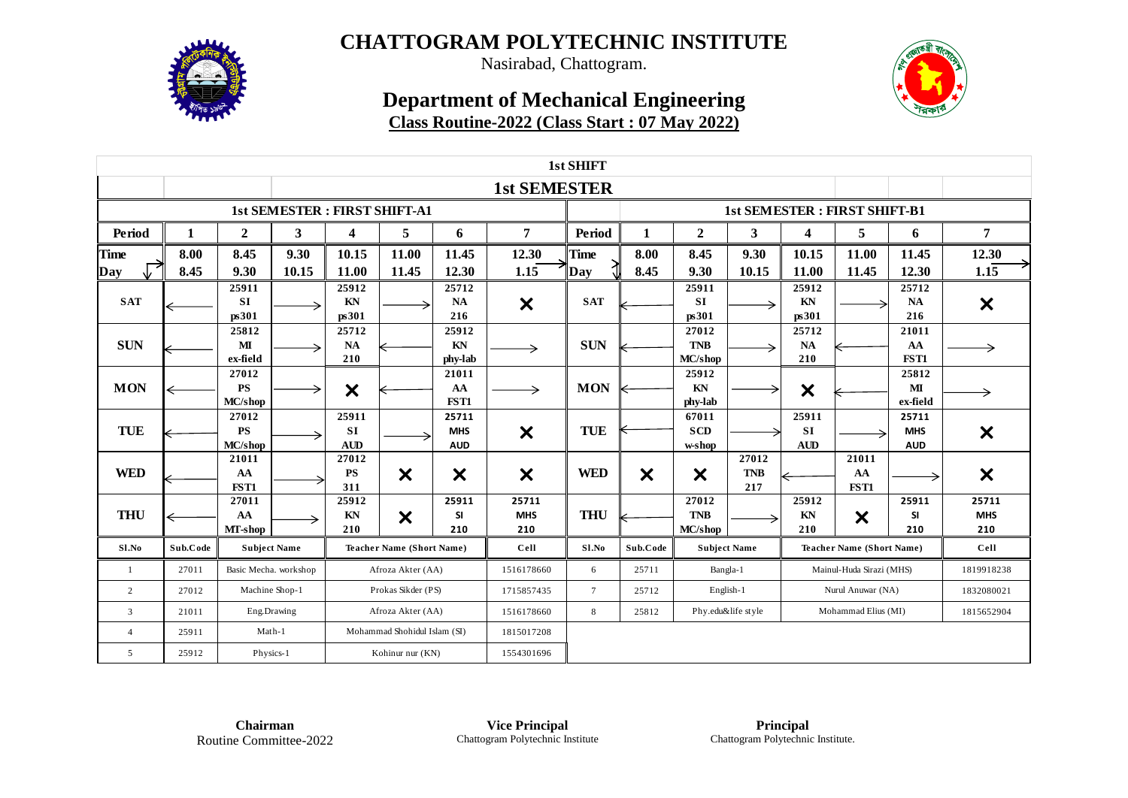

Nasirabad, Chattogram.

### **Department of Mechanical Engineering Class Routine-2022 (Class Start : 07 May 2022)**



| 1st SHIFT      |          |                               |       |                                  |                                     |                                   |                            |                |                           |                                |                            |                                  |                                     |                                                                                                                                     |                            |  |  |  |  |  |
|----------------|----------|-------------------------------|-------|----------------------------------|-------------------------------------|-----------------------------------|----------------------------|----------------|---------------------------|--------------------------------|----------------------------|----------------------------------|-------------------------------------|-------------------------------------------------------------------------------------------------------------------------------------|----------------------------|--|--|--|--|--|
|                |          |                               |       |                                  |                                     |                                   | <b>1st SEMESTER</b>        |                |                           |                                |                            |                                  |                                     |                                                                                                                                     |                            |  |  |  |  |  |
|                |          |                               |       |                                  | <b>1st SEMESTER: FIRST SHIFT-A1</b> |                                   |                            |                |                           |                                |                            |                                  | <b>1st SEMESTER: FIRST SHIFT-B1</b> | 7<br>6<br>12.30<br>11.45<br>12.30<br>1.15<br>25712<br><b>NA</b><br>$\boldsymbol{\mathsf{x}}$<br>216<br>21011<br>AA<br>FST1<br>25812 |                            |  |  |  |  |  |
| Period         | 1        | $\mathbf{2}$                  | 3     | 4                                | 5                                   | 6                                 | 7                          | Period         | 1                         | $\boldsymbol{2}$               | 3                          | 4                                | 5                                   |                                                                                                                                     |                            |  |  |  |  |  |
| <b>Time</b>    | 8.00     | 8.45                          | 9.30  | 10.15                            | 11.00                               | 11.45                             | 12.30                      | <b>Time</b>    | 8.00                      | 8.45                           | 9.30                       | 10.15                            | 11.00                               |                                                                                                                                     |                            |  |  |  |  |  |
| Day            | 8.45     | 9.30                          | 10.15 | 11.00                            | 11.45                               | 12.30                             | 1.15                       | Day            | 8.45                      | 9.30                           | 10.15                      | 11.00                            | 11.45                               |                                                                                                                                     |                            |  |  |  |  |  |
| <b>SAT</b>     |          | 25911<br><b>SI</b><br>ps301   |       | 25912<br>KN<br>ps301             |                                     | 25712<br><b>NA</b><br>216         | $\boldsymbol{\mathsf{x}}$  | <b>SAT</b>     |                           | 25911<br><b>SI</b><br>ps301    |                            | 25912<br>KN<br>ps301             |                                     |                                                                                                                                     |                            |  |  |  |  |  |
| <b>SUN</b>     |          | 25812<br>МI<br>ex-field       |       | 25712<br>NA<br>210               |                                     | 25912<br>KN<br>phy-lab            | →                          | <b>SUN</b>     |                           | 27012<br><b>TNB</b><br>MC/shop |                            | 25712<br><b>NA</b><br>210        |                                     |                                                                                                                                     |                            |  |  |  |  |  |
| <b>MON</b>     |          | 27012<br><b>PS</b><br>MC/shop |       | $\boldsymbol{\mathsf{x}}$        |                                     | 21011<br>AA<br>FST1               | →                          | <b>MON</b>     |                           | 25912<br>KN<br>phy-lab         |                            | $\boldsymbol{\mathsf{x}}$        |                                     | MI<br>ex-field                                                                                                                      |                            |  |  |  |  |  |
| <b>TUE</b>     |          | 27012<br><b>PS</b><br>MC/shop |       | 25911<br><b>SI</b><br><b>AUD</b> |                                     | 25711<br><b>MHS</b><br><b>AUD</b> | $\boldsymbol{\mathsf{x}}$  | <b>TUE</b>     |                           | 67011<br><b>SCD</b><br>w-shop  |                            | 25911<br><b>SI</b><br><b>AUD</b> |                                     | 25711<br><b>MHS</b><br><b>AUD</b>                                                                                                   | $\boldsymbol{\mathsf{x}}$  |  |  |  |  |  |
| <b>WED</b>     |          | 21011<br>AA<br>FST1           |       | 27012<br><b>PS</b><br>311        | $\boldsymbol{\mathsf{x}}$           | $\boldsymbol{\mathsf{x}}$         | $\boldsymbol{\mathsf{x}}$  | <b>WED</b>     | $\boldsymbol{\mathsf{x}}$ | $\boldsymbol{\mathsf{x}}$      | 27012<br><b>TNB</b><br>217 |                                  | 21011<br>AA<br>FST1                 |                                                                                                                                     | $\boldsymbol{\mathsf{x}}$  |  |  |  |  |  |
| <b>THU</b>     |          | 27011<br>AA<br>MT-shop        |       | 25912<br>KN<br>210               | $\boldsymbol{\mathsf{x}}$           | 25911<br><b>SI</b><br>210         | 25711<br><b>MHS</b><br>210 | <b>THU</b>     |                           | 27012<br><b>TNB</b><br>MC/shop |                            | 25912<br>KN<br>210               | X                                   | 25911<br><b>SI</b><br>210                                                                                                           | 25711<br><b>MHS</b><br>210 |  |  |  |  |  |
| Sl.No          | Sub.Code | <b>Subject Name</b>           |       |                                  | <b>Teacher Name (Short Name)</b>    |                                   | Cell                       | Sl.No          | Sub.Code                  | <b>Subject Name</b>            |                            | <b>Teacher Name (Short Name)</b> |                                     |                                                                                                                                     | Cell                       |  |  |  |  |  |
| -1             | 27011    | Basic Mecha. workshop         |       |                                  | Afroza Akter (AA)                   |                                   | 1516178660                 | 6              | 25711                     |                                | Bangla-1                   |                                  | Mainul-Huda Sirazi (MHS)            |                                                                                                                                     | 1819918238                 |  |  |  |  |  |
| 2              | 27012    | Machine Shop-1                |       |                                  | Prokas Sikder (PS)                  |                                   | 1715857435                 | $\overline{7}$ | 25712                     | English-1                      |                            |                                  | Nurul Anuwar (NA)                   |                                                                                                                                     | 1832080021                 |  |  |  |  |  |
| $\overline{3}$ | 21011    | Eng.Drawing                   |       | Afroza Akter (AA)                |                                     |                                   | 1516178660                 | 8              | 25812                     | Phy.edu&life style             |                            |                                  | Mohammad Elius (MI)                 |                                                                                                                                     | 1815652904                 |  |  |  |  |  |
| $\overline{4}$ | 25911    | Math-1                        |       | Mohammad Shohidul Islam (SI)     |                                     |                                   | 1815017208                 |                |                           |                                |                            |                                  |                                     |                                                                                                                                     |                            |  |  |  |  |  |
| 5              | 25912    | Physics-1                     |       | Kohinur nur (KN)                 |                                     | 1554301696                        |                            |                |                           |                                |                            |                                  |                                     |                                                                                                                                     |                            |  |  |  |  |  |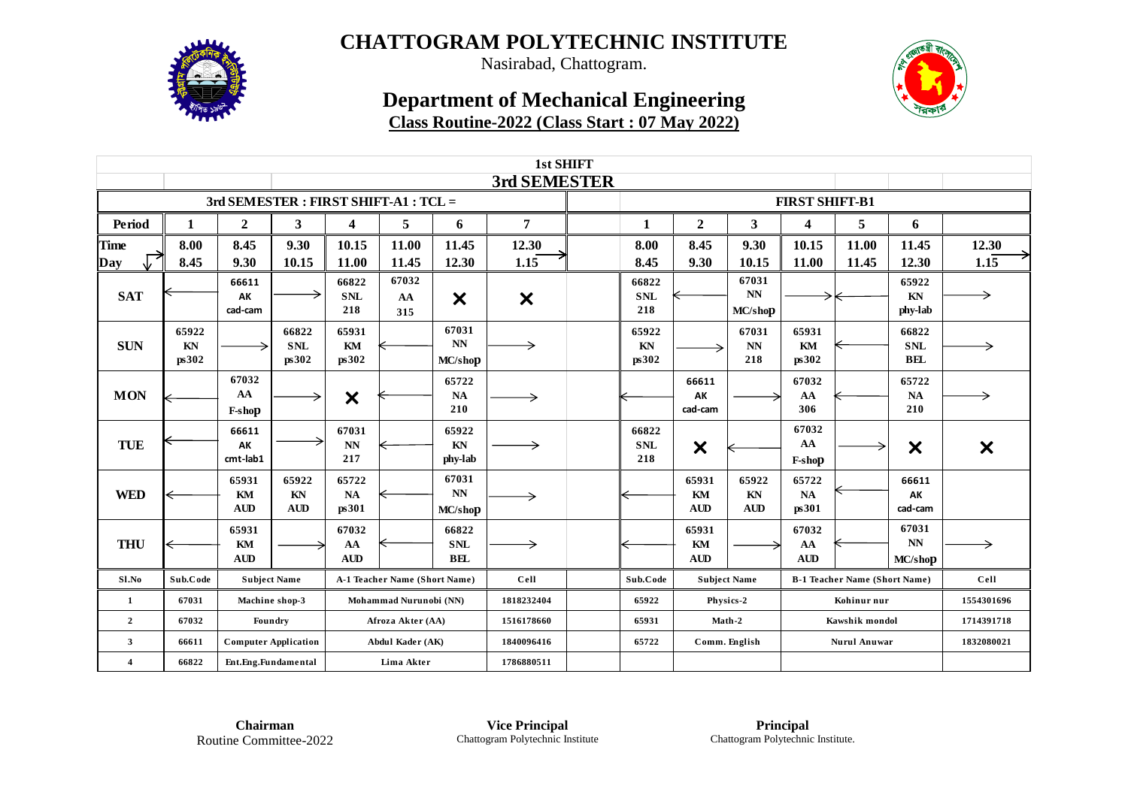

Nasirabad, Chattogram.

### **Department of Mechanical Engineering Class Routine-2022 (Class Start : 07 May 2022)**



| 1st SHIFT                             |                      |                             |                              |                                        |                        |                                    |                           |  |                            |                           |                          |                           |                                      |                                            |                           |
|---------------------------------------|----------------------|-----------------------------|------------------------------|----------------------------------------|------------------------|------------------------------------|---------------------------|--|----------------------------|---------------------------|--------------------------|---------------------------|--------------------------------------|--------------------------------------------|---------------------------|
|                                       |                      |                             |                              |                                        |                        |                                    | 3rd SEMESTER              |  |                            |                           |                          |                           |                                      |                                            |                           |
| 3rd SEMESTER : FIRST SHIFT-A1 : TCL = |                      |                             |                              |                                        |                        |                                    |                           |  | <b>FIRST SHIFT-B1</b>      |                           |                          |                           |                                      |                                            |                           |
| Period                                | 1                    | $\overline{2}$              | 3                            | 4                                      | 5                      | 6                                  | 7                         |  | 1                          | $\overline{2}$            | 3                        | 4                         | 5                                    | 6                                          |                           |
| <b>Time</b>                           | 8.00                 | 8.45                        | 9.30                         | 10.15                                  | 11.00                  | 11.45                              | 12.30                     |  | 8.00                       | 8.45                      | 9.30                     | 10.15                     | 11.00                                | 11.45                                      | 12.30                     |
| Day                                   | 8.45                 | 9.30                        | 10.15                        | 11.00                                  | 11.45                  | 12.30                              | 1.15                      |  | 8.45                       | 9.30                      | 10.15                    | 11.00                     | 11.45                                | 12.30                                      | 1.15                      |
| <b>SAT</b>                            |                      | 66611<br>AK<br>cad-cam      |                              | 66822<br><b>SNL</b><br>218             | 67032<br>AA<br>315     | $\boldsymbol{\mathsf{x}}$          | $\boldsymbol{\mathsf{x}}$ |  | 66822<br><b>SNL</b><br>218 |                           | 67031<br>NN<br>MC/shop   | →                         |                                      | 65922<br>$\mathbf{K}\mathbf{N}$<br>phy-lab | →                         |
| <b>SUN</b>                            | 65922<br>KN<br>ps302 |                             | 66822<br><b>SNL</b><br>ps302 | 65931<br>KM<br>ps302                   |                        | 67031<br>N <sub>N</sub><br>MC/shop | →                         |  | 65922<br>KN<br>ps302       |                           | 67031<br>NN<br>218       | 65931<br>KM<br>ps302      |                                      | 66822<br><b>SNL</b><br><b>BEL</b>          |                           |
| <b>MON</b>                            |                      | 67032<br>AA<br>F-shop       |                              | $\boldsymbol{\mathsf{x}}$              |                        | 65722<br><b>NA</b><br>210          | →                         |  |                            | 66611<br>AK<br>cad-cam    |                          | 67032<br>AA<br>306        |                                      | 65722<br>$\mathbf{NA}$<br>210              |                           |
| <b>TUE</b>                            |                      | 66611<br>AK<br>cmt-lab1     |                              | 67031<br>$\mathbf{N}\mathbf{N}$<br>217 |                        | 65922<br>KN<br>phy-lab             |                           |  | 66822<br><b>SNL</b><br>218 | $\boldsymbol{\mathsf{x}}$ |                          | 67032<br>AA<br>F-shop     | →                                    | $\boldsymbol{\mathsf{x}}$                  | $\boldsymbol{\mathsf{x}}$ |
| <b>WED</b>                            | ←                    | 65931<br>KM<br><b>AUD</b>   | 65922<br>KN<br><b>AUD</b>    | 65722<br>NA<br>ps301                   |                        | 67031<br>NN<br>MC/shop             | →                         |  |                            | 65931<br>KM<br><b>AUD</b> | 65922<br>KN<br>AUD       | 65722<br>NA<br>ps301      |                                      | 66611<br>AK<br>cad-cam                     |                           |
| <b>THU</b>                            |                      | 65931<br>KM<br><b>AUD</b>   |                              | 67032<br>AA<br><b>AUD</b>              |                        | 66822<br><b>SNL</b><br><b>BEL</b>  |                           |  |                            | 65931<br>KM<br><b>AUD</b> |                          | 67032<br>AA<br><b>AUD</b> |                                      | 67031<br>$\mathbf{N}\mathbf{N}$<br>MC/shop |                           |
| Sl.No                                 | Sub.Code             | <b>Subject Name</b>         |                              | A-1 Teacher Name (Short Name)          |                        |                                    | Cell                      |  | Sub.Code                   |                           | <b>Subject Name</b>      |                           | <b>B-1 Teacher Name (Short Name)</b> |                                            | Cell                      |
| $\mathbf{1}$                          | 67031                | Machine shop-3              |                              |                                        | Mohammad Nurunobi (NN) |                                    | 1818232404                |  | 65922                      |                           | Physics-2                |                           | Kohinur nur                          |                                            | 1554301696                |
| $\overline{2}$                        | 67032                | Foundry                     |                              | Afroza Akter (AA)                      |                        |                                    | 1516178660                |  | 65931                      |                           | Math-2<br>Kawshik mondol |                           |                                      |                                            | 1714391718                |
| 3                                     | 66611                | <b>Computer Application</b> |                              |                                        | Abdul Kader (AK)       |                                    | 1840096416                |  | 65722                      |                           | Comm. English            |                           | <b>Nurul Anuwar</b>                  |                                            | 1832080021                |
| $\overline{4}$                        | 66822                | Ent.Eng.Fundamental         |                              |                                        | Lima Akter             |                                    | 1786880511                |  |                            |                           |                          |                           |                                      |                                            |                           |

**Chairman** Routine Committee-2022

**Vice Principal** Chattogram Polytechnic Institute

**Principal** Chattogram Polytechnic Institute.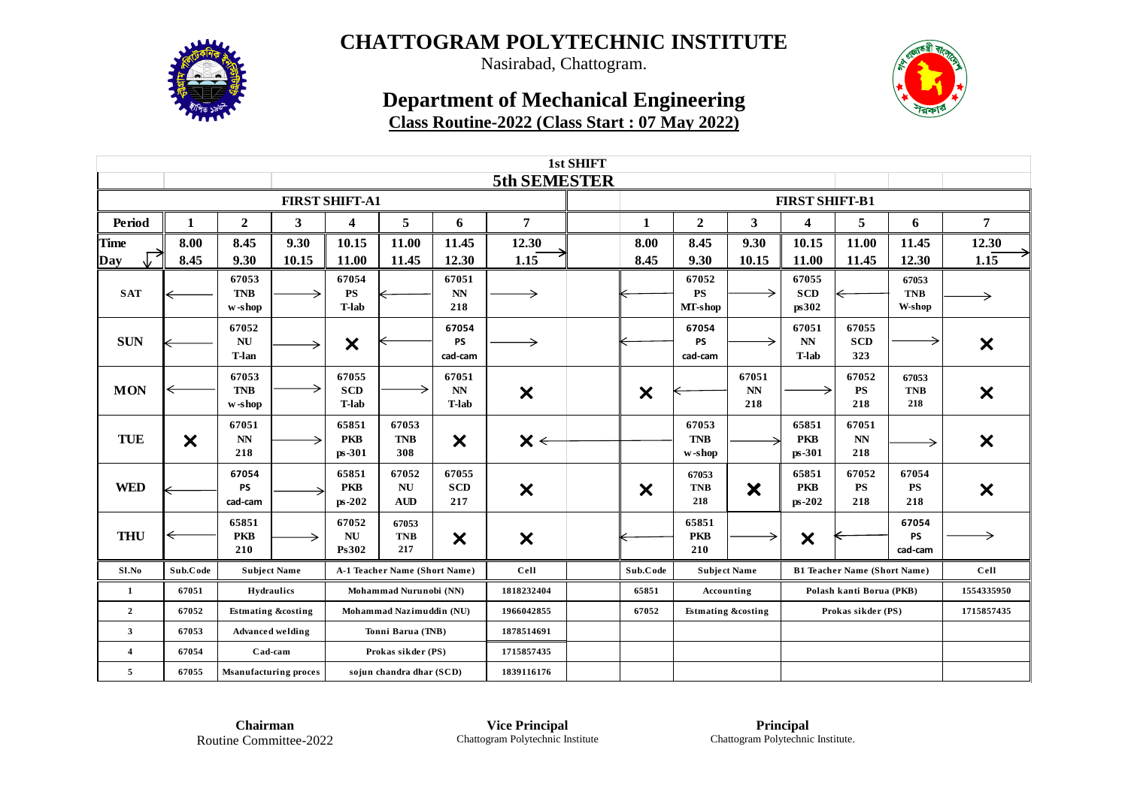

Nasirabad, Chattogram.

### **Department of Mechanical Engineering Class Routine-2022 (Class Start : 07 May 2022)**



| 1st SHIFT               |                       |                               |                         |                                     |                               |                                        |                           |  |                           |                               |                       |                                 |                                        |                               |                           |
|-------------------------|-----------------------|-------------------------------|-------------------------|-------------------------------------|-------------------------------|----------------------------------------|---------------------------|--|---------------------------|-------------------------------|-----------------------|---------------------------------|----------------------------------------|-------------------------------|---------------------------|
|                         |                       |                               |                         |                                     |                               |                                        | 5th SEMESTER              |  |                           |                               |                       |                                 |                                        |                               |                           |
|                         |                       |                               |                         | <b>FIRST SHIFT-A1</b>               |                               |                                        |                           |  |                           |                               | <b>FIRST SHIFT-B1</b> |                                 |                                        |                               |                           |
| Period                  | 1                     | $\overline{2}$                | $\mathbf{3}$            | $\boldsymbol{4}$                    | 5                             | 6                                      | 7                         |  | 1                         | $\overline{2}$                | 3                     | 4                               | 5                                      | 6                             | 7                         |
| <b>Time</b>             | 8.00                  | 8.45                          | 9.30                    | 10.15                               | 11.00                         | 11.45                                  | 12.30                     |  | 8.00                      | 8.45                          | 9.30                  | 10.15                           | 11.00                                  | 11.45                         | 12.30                     |
| Day                     | 8.45                  | 9.30                          | 10.15                   | 11.00                               | 11.45                         | 12.30                                  | 1.15                      |  | 8.45                      | 9.30                          | 10.15                 | 11.00                           | 11.45                                  | 12.30                         | $1.1\overline{5}$         |
| <b>SAT</b>              |                       | 67053<br><b>TNB</b><br>w-shop |                         | 67054<br><b>PS</b><br><b>T-lab</b>  |                               | 67051<br>$\mathbf{N}\mathbf{N}$<br>218 |                           |  |                           | 67052<br><b>PS</b><br>MT-shop |                       | 67055<br><b>SCD</b><br>ps302    |                                        | 67053<br><b>TNB</b><br>W-shop | →                         |
| <b>SUN</b>              |                       | 67052<br>NU<br>T-lan          | →                       | $\boldsymbol{\mathsf{x}}$           |                               | 67054<br><b>PS</b><br>cad-cam          |                           |  |                           | 67054<br><b>PS</b><br>cad-cam |                       | 67051<br>NN<br>T-lab            | 67055<br><b>SCD</b><br>323             |                               | $\boldsymbol{\mathsf{x}}$ |
| <b>MON</b>              |                       | 67053<br><b>TNB</b><br>w-shop |                         | 67055<br><b>SCD</b><br><b>T-lab</b> |                               | 67051<br>NN<br>T-lab                   | $\boldsymbol{\mathsf{x}}$ |  | $\boldsymbol{\mathsf{x}}$ |                               | 67051<br>NN<br>218    |                                 | 67052<br><b>PS</b><br>218              | 67053<br><b>TNB</b><br>218    | $\boldsymbol{\mathsf{x}}$ |
| <b>TUE</b>              | $\boldsymbol{\times}$ | 67051<br><b>NN</b><br>218     | ⇒                       | 65851<br><b>PKB</b><br>ps-301       | 67053<br><b>TNB</b><br>308    | $\boldsymbol{\times}$                  | $\mathsf{X}\leftarrow$    |  |                           | 67053<br><b>TNB</b><br>w-shop |                       | 65851<br><b>PKB</b><br>$ps-301$ | 67051<br>$\mathbf{N}\mathbf{N}$<br>218 | →                             | $\boldsymbol{\mathsf{x}}$ |
| <b>WED</b>              |                       | 67054<br><b>PS</b><br>cad-cam |                         | 65851<br><b>PKB</b><br>$ps-202$     | 67052<br>NU<br><b>AUD</b>     | 67055<br><b>SCD</b><br>217             | X                         |  | $\boldsymbol{\mathsf{x}}$ | 67053<br><b>TNB</b><br>218    | X                     | 65851<br><b>PKB</b><br>ps-202   | 67052<br><b>PS</b><br>218              | 67054<br><b>PS</b><br>218     | $\boldsymbol{\mathsf{x}}$ |
| <b>THU</b>              | ⇐                     | 65851<br><b>PKB</b><br>210    | →                       | 67052<br><b>NU</b><br>Ps302         | 67053<br><b>TNB</b><br>217    | $\boldsymbol{\mathsf{x}}$              | $\boldsymbol{\mathsf{x}}$ |  |                           | 65851<br><b>PKB</b><br>210    |                       | $\boldsymbol{\mathsf{x}}$       |                                        | 67054<br><b>PS</b><br>cad-cam | →                         |
| Sl.No                   | Sub.Code              | <b>Subject Name</b>           |                         |                                     | A-1 Teacher Name (Short Name) |                                        | Cell                      |  | Sub.Code                  | <b>Subject Name</b>           |                       |                                 | <b>B1 Teacher Name (Short Name)</b>    |                               | Cell                      |
| 1                       | 67051                 |                               | Hydraulics              |                                     | Mohammad Nurunobi (NN)        |                                        | 1818232404                |  | 65851                     | Accounting                    |                       |                                 | Polash kanti Borua (PKB)               |                               | 1554335950                |
| $\overline{2}$          | 67052                 | <b>Estmating &amp;costing</b> |                         |                                     | Mohammad Nazimuddin (NU)      |                                        | 1966042855                |  | 67052                     | <b>Estmating &amp;costing</b> |                       | Prokas sikder (PS)              |                                        |                               | 1715857435                |
| $\mathbf{3}$            | 67053                 |                               | <b>Advanced welding</b> | Tonni Barua (TNB)                   |                               |                                        | 1878514691                |  |                           |                               |                       |                                 |                                        |                               |                           |
| $\overline{\mathbf{4}}$ | 67054                 | Cad-cam                       |                         |                                     | Prokas sikder (PS)            |                                        | 1715857435                |  |                           |                               |                       |                                 |                                        |                               |                           |
| 5                       | 67055                 | <b>Msanufacturing proces</b>  |                         |                                     | sojun chandra dhar (SCD)      |                                        | 1839116176                |  |                           |                               |                       |                                 |                                        |                               |                           |

**Chairman** Routine Committee-2022

**Vice Principal** Chattogram Polytechnic Institute

**Principal** Chattogram Polytechnic Institute.